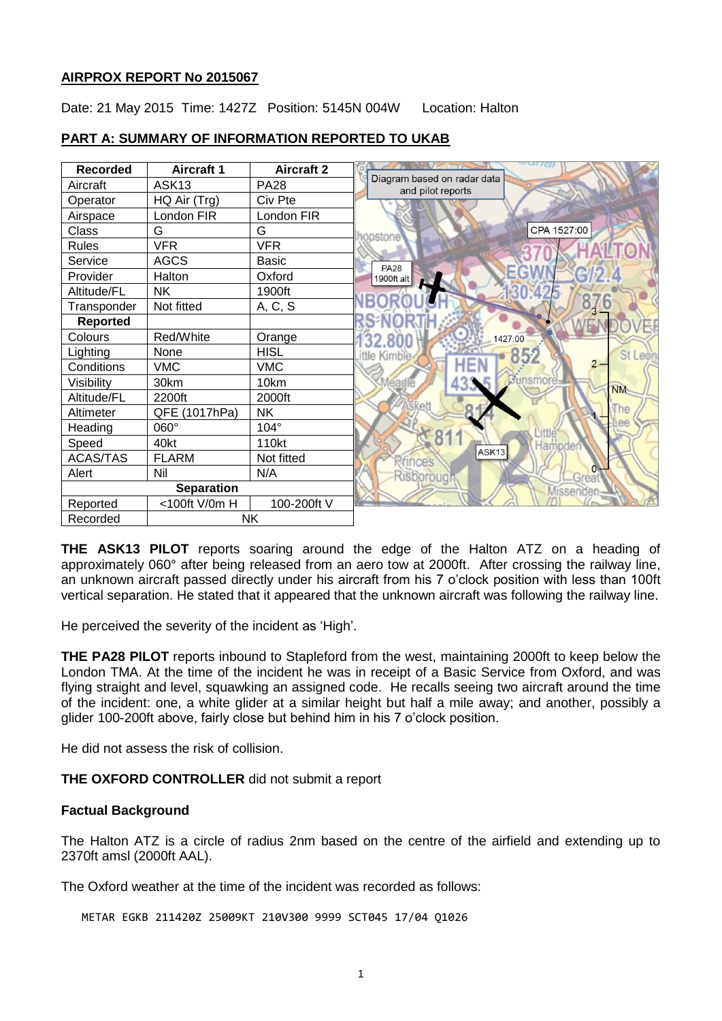#### **AIRPROX REPORT No 2015067**

Date: 21 May 2015 Time: 1427Z Position: 5145N 004W Location: Halton



# **PART A: SUMMARY OF INFORMATION REPORTED TO UKAB**

**THE ASK13 PILOT** reports soaring around the edge of the Halton ATZ on a heading of approximately 060° after being released from an aero tow at 2000ft. After crossing the railway line, an unknown aircraft passed directly under his aircraft from his 7 o'clock position with less than 100ft vertical separation. He stated that it appeared that the unknown aircraft was following the railway line.

He perceived the severity of the incident as 'High'.

**THE PA28 PILOT** reports inbound to Stapleford from the west, maintaining 2000ft to keep below the London TMA. At the time of the incident he was in receipt of a Basic Service from Oxford, and was flying straight and level, squawking an assigned code. He recalls seeing two aircraft around the time of the incident: one, a white glider at a similar height but half a mile away; and another, possibly a glider 100-200ft above, fairly close but behind him in his 7 o'clock position.

He did not assess the risk of collision.

**THE OXFORD CONTROLLER** did not submit a report

#### **Factual Background**

The Halton ATZ is a circle of radius 2nm based on the centre of the airfield and extending up to 2370ft amsl (2000ft AAL).

The Oxford weather at the time of the incident was recorded as follows:

METAR EGKB 211420Z 25009KT 210V300 9999 SCT045 17/04 Q1026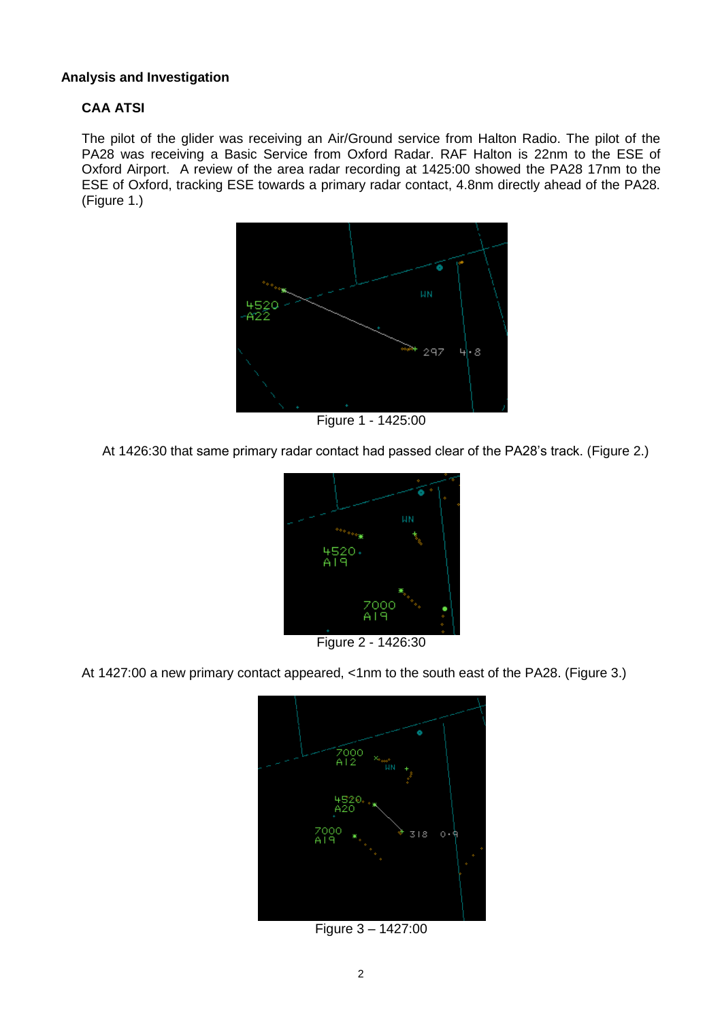## **Analysis and Investigation**

# **CAA ATSI**

The pilot of the glider was receiving an Air/Ground service from Halton Radio. The pilot of the PA28 was receiving a Basic Service from Oxford Radar. RAF Halton is 22nm to the ESE of Oxford Airport. A review of the area radar recording at 1425:00 showed the PA28 17nm to the ESE of Oxford, tracking ESE towards a primary radar contact, 4.8nm directly ahead of the PA28. (Figure 1.)



Figure 1 - 1425:00

At 1426:30 that same primary radar contact had passed clear of the PA28's track. (Figure 2.)



Figure 2 - 1426:30

At 1427:00 a new primary contact appeared, <1nm to the south east of the PA28. (Figure 3.)



Figure 3 – 1427:00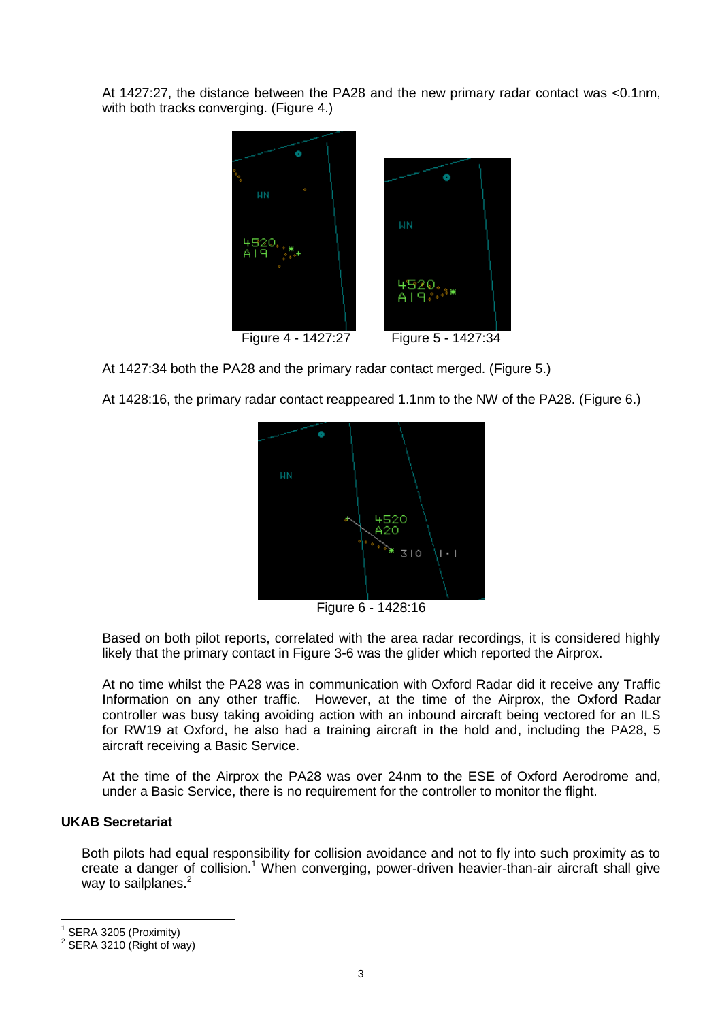At 1427:27, the distance between the PA28 and the new primary radar contact was <0.1nm, with both tracks converging. (Figure 4.)



At 1427:34 both the PA28 and the primary radar contact merged. (Figure 5.)

At 1428:16, the primary radar contact reappeared 1.1nm to the NW of the PA28. (Figure 6.)



Figure 6 - 1428:16

Based on both pilot reports, correlated with the area radar recordings, it is considered highly likely that the primary contact in Figure 3-6 was the glider which reported the Airprox.

At no time whilst the PA28 was in communication with Oxford Radar did it receive any Traffic Information on any other traffic. However, at the time of the Airprox, the Oxford Radar controller was busy taking avoiding action with an inbound aircraft being vectored for an ILS for RW19 at Oxford, he also had a training aircraft in the hold and, including the PA28, 5 aircraft receiving a Basic Service.

At the time of the Airprox the PA28 was over 24nm to the ESE of Oxford Aerodrome and, under a Basic Service, there is no requirement for the controller to monitor the flight.

## **UKAB Secretariat**

Both pilots had equal responsibility for collision avoidance and not to fly into such proximity as to create a danger of collision.<sup>1</sup> When converging, power-driven heavier-than-air aircraft shall give way to sailplanes.<sup>2</sup>

1 SERA 3205 (Proximity)

 $\overline{\phantom{a}}$ 

 $2$  SERA 3210 (Right of way)